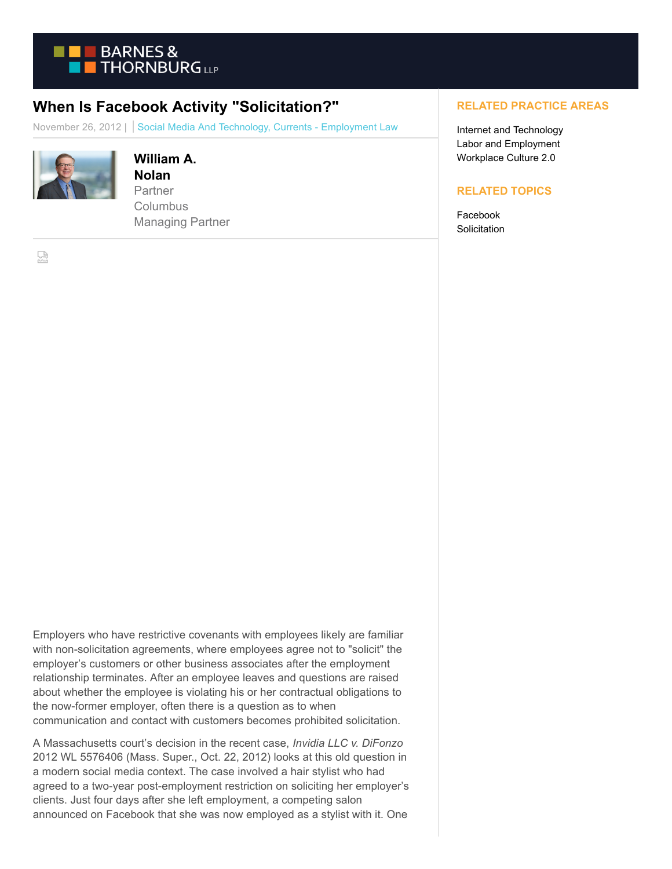

## **When Is Facebook Activity "Solicitation?"**

November 26, 2012 | Social Media And Technology, Currents - Employment Law



## **William A. Nolan**

Partner **Columbus** Managing Partner

옸

Employers who have restrictive covenants with employees likely are familiar with non-solicitation agreements, where employees agree not to "solicit" the employer's customers or other business associates after the employment relationship terminates. After an employee leaves and questions are raised about whether the employee is violating his or her contractual obligations to the now-former employer, often there is a question as to when communication and contact with customers becomes prohibited solicitation.

A Massachusetts court's decision in the recent case, *Invidia LLC v. DiFonzo* 2012 WL 5576406 (Mass. Super., Oct. 22, 2012) looks at this old question in a modern social media context. The case involved a hair stylist who had agreed to a two-year post-employment restriction on soliciting her employer's clients. Just four days after she left employment, a competing salon announced on Facebook that she was now employed as a stylist with it. One

## **RELATED PRACTICE AREAS**

Internet and Technology Labor and Employment Workplace Culture 2.0

## **RELATED TOPICS**

Facebook **Solicitation**